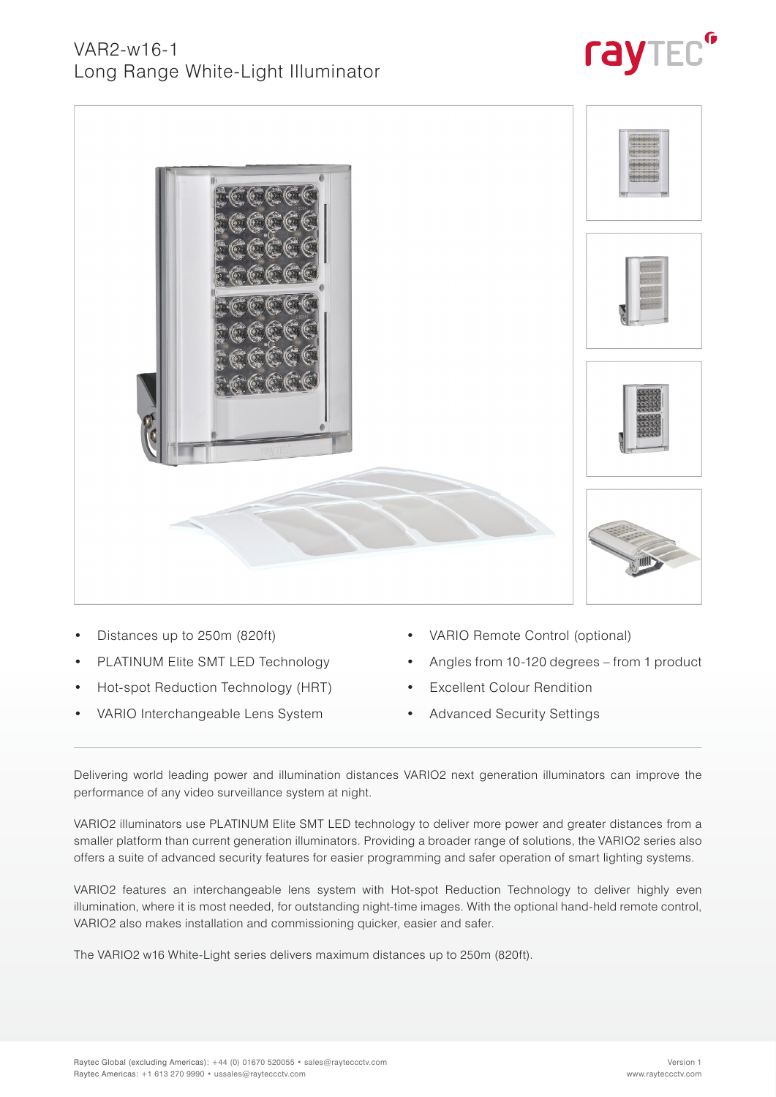



- Distances up to 250m (820ft)
- PLATINUM Elite SMT LED Technology
- Hot-spot Reduction Technology (HRT)
- VARIO Interchangeable Lens System
- VARIO Remote Control (optional)
- Angles from 10-120 degrees from 1 product
- **Excellent Colour Rendition**
- Advanced Security Settings

Delivering world leading power and illumination distances VARIO2 next generation illuminators can improve the performance of any video surveillance system at night.

VARIO2 illuminators use PLATINUM Elite SMT LED technology to deliver more power and greater distances from a smaller platform than current generation illuminators. Providing a broader range of solutions, the VARIO2 series also offers a suite of advanced security features for easier programming and safer operation of smart lighting systems.

VARIO2 features an interchangeable lens system with Hot-spot Reduction Technology to deliver highly even illumination, where it is most needed, for outstanding night-time images. With the optional hand-held remote control, VARIO2 also makes installation and commissioning quicker, easier and safer.

The VARIO2 w16 White-Light series delivers maximum distances up to 250m (820ft).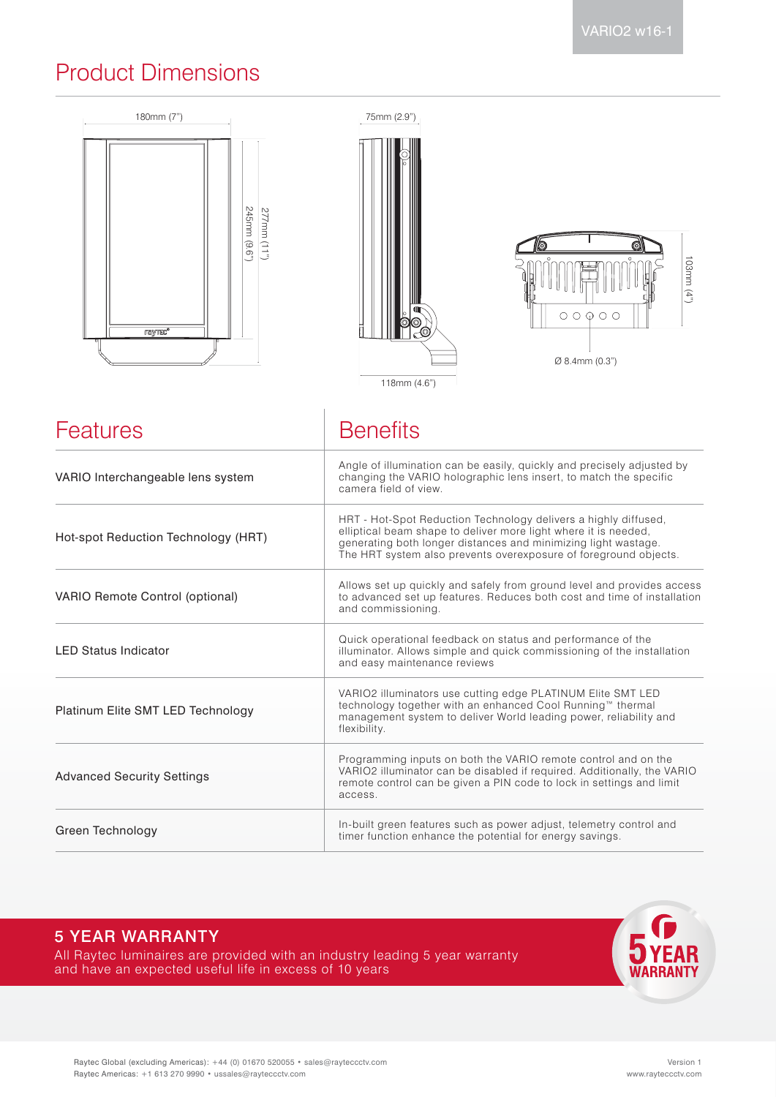# Product Dimensions



| VARIO Interchangeable lens system                                                                                                                                                                                                                                                                               | Angle of illumination can be easily, quickly and precisely adjusted by<br>changing the VARIO holographic lens insert, to match the specific<br>camera field of view.                                           |  |
|-----------------------------------------------------------------------------------------------------------------------------------------------------------------------------------------------------------------------------------------------------------------------------------------------------------------|----------------------------------------------------------------------------------------------------------------------------------------------------------------------------------------------------------------|--|
| HRT - Hot-Spot Reduction Technology delivers a highly diffused,<br>elliptical beam shape to deliver more light where it is needed,<br>Hot-spot Reduction Technology (HRT)<br>generating both longer distances and minimizing light wastage.<br>The HRT system also prevents overexposure of foreground objects. |                                                                                                                                                                                                                |  |
| VARIO Remote Control (optional)                                                                                                                                                                                                                                                                                 | Allows set up quickly and safely from ground level and provides access<br>to advanced set up features. Reduces both cost and time of installation<br>and commissioning.                                        |  |
| <b>LED Status Indicator</b>                                                                                                                                                                                                                                                                                     | Quick operational feedback on status and performance of the<br>illuminator. Allows simple and quick commissioning of the installation<br>and easy maintenance reviews                                          |  |
| Platinum Elite SMT LED Technology                                                                                                                                                                                                                                                                               | VARIO2 illuminators use cutting edge PLATINUM Elite SMT LED<br>technology together with an enhanced Cool Running™ thermal<br>management system to deliver World leading power, reliability and<br>flexibility. |  |
| Programming inputs on both the VARIO remote control and on the<br>VARIO2 illuminator can be disabled if required. Additionally, the VARIO<br><b>Advanced Security Settings</b><br>remote control can be given a PIN code to lock in settings and limit<br>access.                                               |                                                                                                                                                                                                                |  |
| Green Technology                                                                                                                                                                                                                                                                                                | In-built green features such as power adjust, telemetry control and<br>timer function enhance the potential for energy savings.                                                                                |  |

### 5 YEAR WARRANTY

All Raytec luminaires are provided with an industry leading 5 year warranty and have an expected useful life in excess of 10 years